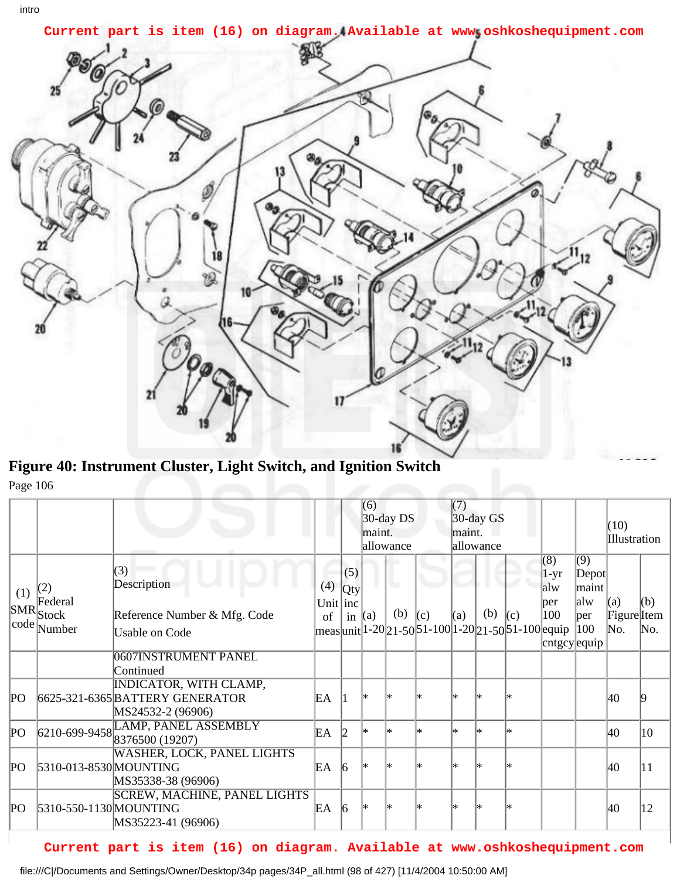

**Figure 40: Instrument Cluster, Light Switch, and Ignition Switch** Page 106

|     |                                                             |                                                                                                                    |                       |                        | (6)<br>$30$ -day DS<br>maint.<br>allowance |           |     | (7)<br>$30$ -day GS<br>maint.<br>allowance |     |                                                                           |                                                                                       |                                                         | (10)<br>Illustration      |            |
|-----|-------------------------------------------------------------|--------------------------------------------------------------------------------------------------------------------|-----------------------|------------------------|--------------------------------------------|-----------|-----|--------------------------------------------|-----|---------------------------------------------------------------------------|---------------------------------------------------------------------------------------|---------------------------------------------------------|---------------------------|------------|
| (1) | (2)<br>Federal<br>$ \mathrm{SMR} $ stock<br>$ code $ Number | (3)<br>Description<br>Reference Number & Mfg. Code<br><b>Usable on Code</b>                                        | (4)<br>Unit inc<br>of | (5)<br>Qty<br>in $(a)$ |                                            | u.<br>(b) | (c) | (a)                                        | (b) | (c)<br>$\frac{1}{2}$ meas  unit 1-20 21-50 51-100 1-20 21-50 51-100 equip | $\overline{(8)}$<br>1-yr<br>alw<br>per<br>100<br>$\vert$ cntgcy $\vert$ equip $\vert$ | $\sqrt{(9)}$<br>Depot<br> maint <br>alw<br> per <br>100 | (a)<br>Figure Item<br>No. | (b)<br>No. |
|     |                                                             | 0607 INSTRUMENT PANEL<br>Continued                                                                                 |                       |                        |                                            |           |     |                                            |     |                                                                           |                                                                                       |                                                         |                           |            |
| PО  |                                                             | <b>INDICATOR, WITH CLAMP,</b><br>6625-321-6365 BATTERY GENERATOR<br>MS24532-2 (96906)                              | EA                    |                        | l*                                         |           | ×   | l∗                                         |     |                                                                           |                                                                                       |                                                         | 40                        |            |
| PО  |                                                             | $\boxed{6210\text{-}699\text{-}9458\text{LAMP}, \text{PANEL ASSEMBLY}} \\ \textcolor{red}{8376500~\text{(19207)}}$ | EA                    | 12                     | l∗                                         |           | l*  | l∗.                                        | l∗  | l*                                                                        |                                                                                       |                                                         | 40                        | 10         |
| PО  | 5310-013-8530 MOUNTING                                      | <b>WASHER, LOCK, PANEL LIGHTS</b><br>MS35338-38 (96906)                                                            | EA                    | $\vert 6 \vert$        | l*                                         |           | ×   | l∗                                         |     |                                                                           |                                                                                       |                                                         | 40                        | 11         |
| PО  | 5310-550-1130 MOUNTING                                      | <b>SCREW, MACHINE, PANEL LIGHTS</b><br>MS35223-41 (96906)                                                          | EA                    | $\vert 6 \vert$        | ∣∗                                         |           | ×   | l∗                                         |     |                                                                           |                                                                                       |                                                         | 40                        | 12         |

## **Current part is item (16) on diagram. Available at www.oshkoshequipment.com**